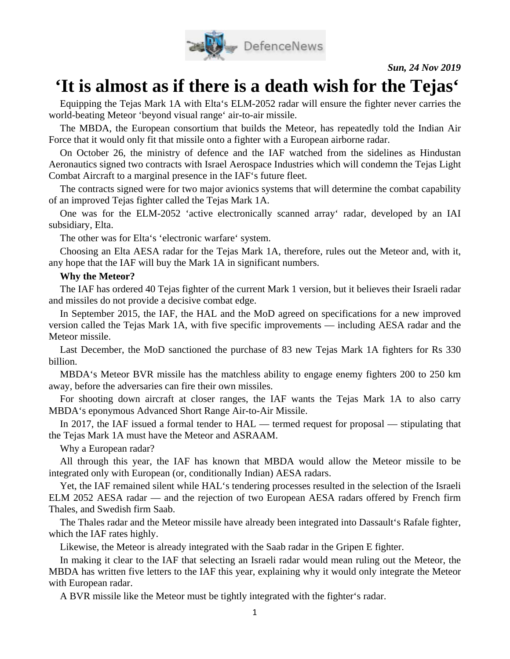

*Sun, 24 Nov 2019*

## **'It is almost as if there is a death wish for the Tejas'**

Equipping the Tejas Mark 1A with Elta's ELM-2052 radar will ensure the fighter never carries the world-beating Meteor 'beyond visual range' air-to-air missile.

The MBDA, the European consortium that builds the Meteor, has repeatedly told the Indian Air Force that it would only fit that missile onto a fighter with a European airborne radar.

On October 26, the ministry of defence and the IAF watched from the sidelines as Hindustan Aeronautics signed two contracts with Israel Aerospace Industries which will condemn the Tejas Light Combat Aircraft to a marginal presence in the IAF's future fleet.

The contracts signed were for two major avionics systems that will determine the combat capability of an improved Tejas fighter called the Tejas Mark 1A.

One was for the ELM-2052 'active electronically scanned array' radar, developed by an IAI subsidiary, Elta.

The other was for Elta's 'electronic warfare' system.

Choosing an Elta AESA radar for the Tejas Mark 1A, therefore, rules out the Meteor and, with it, any hope that the IAF will buy the Mark 1A in significant numbers.

## **Why the Meteor?**

The IAF has ordered 40 Tejas fighter of the current Mark 1 version, but it believes their Israeli radar and missiles do not provide a decisive combat edge.

In September 2015, the IAF, the HAL and the MoD agreed on specifications for a new improved version called the Tejas Mark 1A, with five specific improvements — including AESA radar and the Meteor missile.

Last December, the MoD sanctioned the purchase of 83 new Tejas Mark 1A fighters for Rs 330 billion.

MBDA's Meteor BVR missile has the matchless ability to engage enemy fighters 200 to 250 km away, before the adversaries can fire their own missiles.

For shooting down aircraft at closer ranges, the IAF wants the Tejas Mark 1A to also carry MBDA's eponymous Advanced Short Range Air-to-Air Missile.

In 2017, the IAF issued a formal tender to HAL — termed request for proposal — stipulating that the Tejas Mark 1A must have the Meteor and ASRAAM.

Why a European radar?

All through this year, the IAF has known that MBDA would allow the Meteor missile to be integrated only with European (or, conditionally Indian) AESA radars.

Yet, the IAF remained silent while HAL's tendering processes resulted in the selection of the Israeli ELM 2052 AESA radar — and the rejection of two European AESA radars offered by French firm Thales, and Swedish firm Saab.

The Thales radar and the Meteor missile have already been integrated into Dassault's Rafale fighter, which the IAF rates highly.

Likewise, the Meteor is already integrated with the Saab radar in the Gripen E fighter.

In making it clear to the IAF that selecting an Israeli radar would mean ruling out the Meteor, the MBDA has written five letters to the IAF this year, explaining why it would only integrate the Meteor with European radar.

A BVR missile like the Meteor must be tightly integrated with the fighter's radar.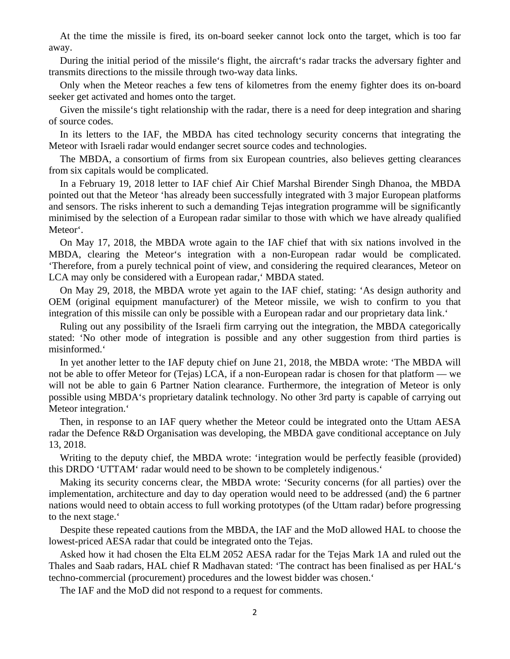At the time the missile is fired, its on-board seeker cannot lock onto the target, which is too far away.

During the initial period of the missile's flight, the aircraft's radar tracks the adversary fighter and transmits directions to the missile through two-way data links.

Only when the Meteor reaches a few tens of kilometres from the enemy fighter does its on-board seeker get activated and homes onto the target.

Given the missile's tight relationship with the radar, there is a need for deep integration and sharing of source codes.

In its letters to the IAF, the MBDA has cited technology security concerns that integrating the Meteor with Israeli radar would endanger secret source codes and technologies.

The MBDA, a consortium of firms from six European countries, also believes getting clearances from six capitals would be complicated.

In a February 19, 2018 letter to IAF chief Air Chief Marshal Birender Singh Dhanoa, the MBDA pointed out that the Meteor 'has already been successfully integrated with 3 major European platforms and sensors. The risks inherent to such a demanding Tejas integration programme will be significantly minimised by the selection of a European radar similar to those with which we have already qualified Meteor'.

On May 17, 2018, the MBDA wrote again to the IAF chief that with six nations involved in the MBDA, clearing the Meteor's integration with a non-European radar would be complicated. 'Therefore, from a purely technical point of view, and considering the required clearances, Meteor on LCA may only be considered with a European radar,' MBDA stated.

On May 29, 2018, the MBDA wrote yet again to the IAF chief, stating: 'As design authority and OEM (original equipment manufacturer) of the Meteor missile, we wish to confirm to you that integration of this missile can only be possible with a European radar and our proprietary data link.'

Ruling out any possibility of the Israeli firm carrying out the integration, the MBDA categorically stated: 'No other mode of integration is possible and any other suggestion from third parties is misinformed.'

In yet another letter to the IAF deputy chief on June 21, 2018, the MBDA wrote: 'The MBDA will not be able to offer Meteor for (Tejas) LCA, if a non-European radar is chosen for that platform — we will not be able to gain 6 Partner Nation clearance. Furthermore, the integration of Meteor is only possible using MBDA's proprietary datalink technology. No other 3rd party is capable of carrying out Meteor integration.'

Then, in response to an IAF query whether the Meteor could be integrated onto the Uttam AESA radar the Defence R&D Organisation was developing, the MBDA gave conditional acceptance on July 13, 2018.

Writing to the deputy chief, the MBDA wrote: 'integration would be perfectly feasible (provided) this DRDO 'UTTAM' radar would need to be shown to be completely indigenous.'

Making its security concerns clear, the MBDA wrote: 'Security concerns (for all parties) over the implementation, architecture and day to day operation would need to be addressed (and) the 6 partner nations would need to obtain access to full working prototypes (of the Uttam radar) before progressing to the next stage.'

Despite these repeated cautions from the MBDA, the IAF and the MoD allowed HAL to choose the lowest-priced AESA radar that could be integrated onto the Tejas.

Asked how it had chosen the Elta ELM 2052 AESA radar for the Tejas Mark 1A and ruled out the Thales and Saab radars, HAL chief R Madhavan stated: 'The contract has been finalised as per HAL's techno-commercial (procurement) procedures and the lowest bidder was chosen.'

The IAF and the MoD did not respond to a request for comments.